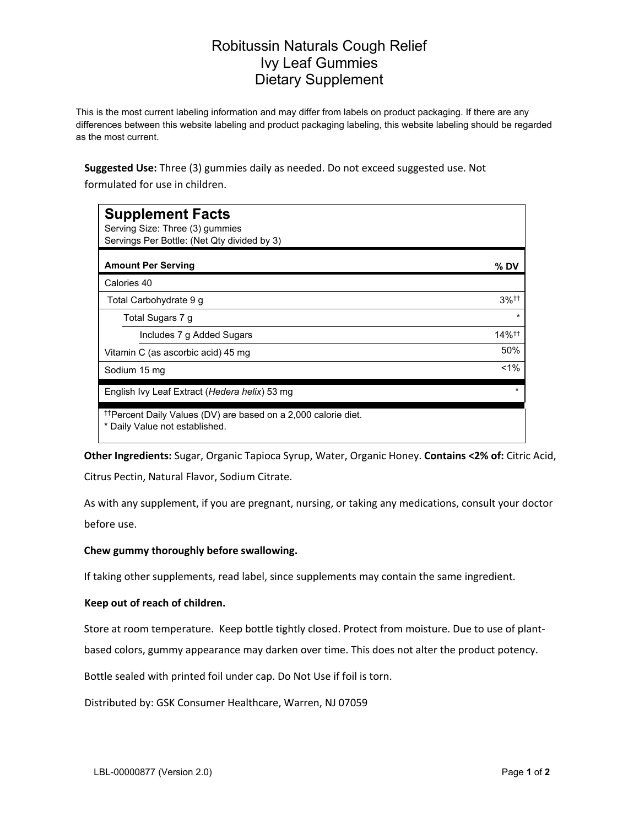## Robitussin Naturals Cough Relief Ivy Leaf Gummies Dietary Supplement

This is the most current labeling information and may differ from labels on product packaging. If there are any differences between this website labeling and product packaging labeling, this website labeling should be regarded as the most current.

**Suggested Use:** Three (3) gummies daily as needed. Do not exceed suggested use. Not formulated for use in children.

| <b>Supplement Facts</b><br>Serving Size: Three (3) gummies<br>Servings Per Bottle: (Net Qty divided by 3)    |                                          |
|--------------------------------------------------------------------------------------------------------------|------------------------------------------|
| <b>Amount Per Serving</b>                                                                                    | % DV                                     |
| Calories 40                                                                                                  |                                          |
| Total Carbohydrate 9 g                                                                                       | $3%$ <sup>††</sup>                       |
| Total Sugars 7 g                                                                                             | $\star$                                  |
| Includes 7 g Added Sugars                                                                                    | $14\%$ <sup><math>\uparrow</math>†</sup> |
| Vitamin C (as ascorbic acid) 45 mg                                                                           | 50%                                      |
| Sodium 15 mg                                                                                                 | $1\%$                                    |
| English Ivy Leaf Extract (Hedera helix) 53 mg                                                                | $\star$                                  |
| <sup>††</sup> Percent Daily Values (DV) are based on a 2,000 calorie diet.<br>* Daily Value not established. |                                          |

**Other Ingredients:** Sugar, Organic Tapioca Syrup, Water, Organic Honey. **Contains <2% of:** Citric Acid, Citrus Pectin, Natural Flavor, Sodium Citrate.

As with any supplement, if you are pregnant, nursing, or taking any medications, consult your doctor before use.

## **Chew gummy thoroughly before swallowing.**

If taking other supplements, read label, since supplements may contain the same ingredient.

## **Keep out of reach of children.**

Store at room temperature. Keep bottle tightly closed. Protect from moisture. Due to use of plant-

based colors, gummy appearance may darken over time. This does not alter the product potency.

Bottle sealed with printed foil under cap. Do Not Use if foil is torn.

Distributed by: GSK Consumer Healthcare, Warren, NJ 07059